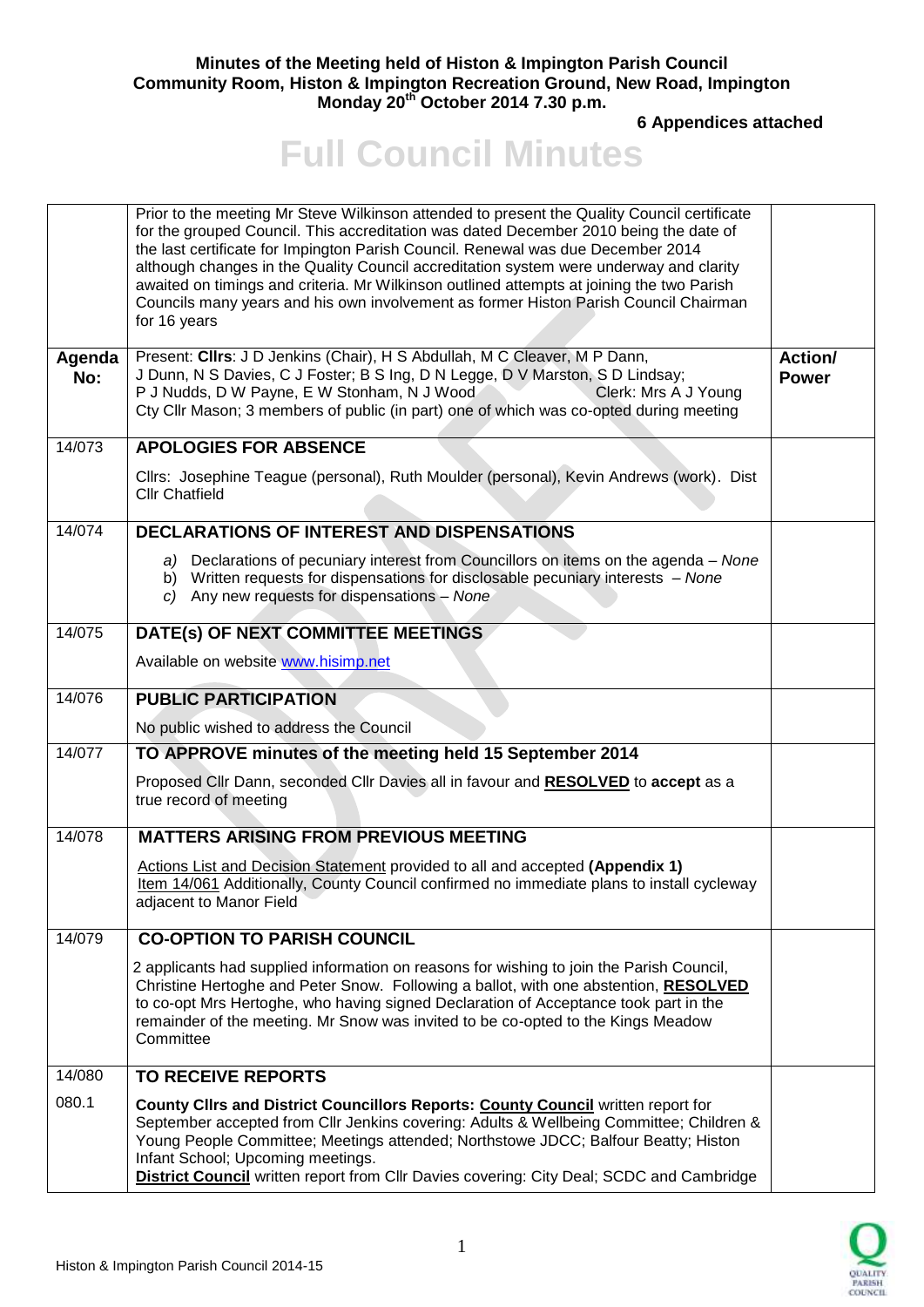## **Minutes of the Meeting held of Histon & Impington Parish Council Community Room, Histon & Impington Recreation Ground, New Road, Impington Monday 20th October 2014 7.30 p.m.**

**6 Appendices attached** 

## **Full Council Minutes**

|               | Prior to the meeting Mr Steve Wilkinson attended to present the Quality Council certificate<br>for the grouped Council. This accreditation was dated December 2010 being the date of<br>the last certificate for Impington Parish Council. Renewal was due December 2014<br>although changes in the Quality Council accreditation system were underway and clarity<br>awaited on timings and criteria. Mr Wilkinson outlined attempts at joining the two Parish<br>Councils many years and his own involvement as former Histon Parish Council Chairman<br>for 16 years |                         |
|---------------|-------------------------------------------------------------------------------------------------------------------------------------------------------------------------------------------------------------------------------------------------------------------------------------------------------------------------------------------------------------------------------------------------------------------------------------------------------------------------------------------------------------------------------------------------------------------------|-------------------------|
| Agenda<br>No: | Present: Clirs: J D Jenkins (Chair), H S Abdullah, M C Cleaver, M P Dann,<br>J Dunn, N S Davies, C J Foster; B S Ing, D N Legge, D V Marston, S D Lindsay;<br>P J Nudds, D W Payne, E W Stonham, N J Wood<br>Clerk: Mrs A J Young<br>Cty Cllr Mason; 3 members of public (in part) one of which was co-opted during meeting                                                                                                                                                                                                                                             | Action/<br><b>Power</b> |
| 14/073        | <b>APOLOGIES FOR ABSENCE</b>                                                                                                                                                                                                                                                                                                                                                                                                                                                                                                                                            |                         |
|               | Cllrs: Josephine Teague (personal), Ruth Moulder (personal), Kevin Andrews (work). Dist<br><b>Cllr Chatfield</b>                                                                                                                                                                                                                                                                                                                                                                                                                                                        |                         |
| 14/074        | <b>DECLARATIONS OF INTEREST AND DISPENSATIONS</b>                                                                                                                                                                                                                                                                                                                                                                                                                                                                                                                       |                         |
|               | a) Declarations of pecuniary interest from Councillors on items on the agenda – None<br>b) Written requests for dispensations for disclosable pecuniary interests - None<br>c) Any new requests for dispensations - None                                                                                                                                                                                                                                                                                                                                                |                         |
| 14/075        | DATE(s) OF NEXT COMMITTEE MEETINGS                                                                                                                                                                                                                                                                                                                                                                                                                                                                                                                                      |                         |
|               | Available on website www.hisimp.net                                                                                                                                                                                                                                                                                                                                                                                                                                                                                                                                     |                         |
| 14/076        | <b>PUBLIC PARTICIPATION</b>                                                                                                                                                                                                                                                                                                                                                                                                                                                                                                                                             |                         |
|               | No public wished to address the Council                                                                                                                                                                                                                                                                                                                                                                                                                                                                                                                                 |                         |
| 14/077        | TO APPROVE minutes of the meeting held 15 September 2014                                                                                                                                                                                                                                                                                                                                                                                                                                                                                                                |                         |
|               | Proposed Cllr Dann, seconded Cllr Davies all in favour and RESOLVED to accept as a<br>true record of meeting                                                                                                                                                                                                                                                                                                                                                                                                                                                            |                         |
| 14/078        | <b>MATTERS ARISING FROM PREVIOUS MEETING</b>                                                                                                                                                                                                                                                                                                                                                                                                                                                                                                                            |                         |
|               | Actions List and Decision Statement provided to all and accepted (Appendix 1)<br>Item 14/061 Additionally, County Council confirmed no immediate plans to install cycleway<br>adjacent to Manor Field                                                                                                                                                                                                                                                                                                                                                                   |                         |
| 14/079        | <b>CO-OPTION TO PARISH COUNCIL</b>                                                                                                                                                                                                                                                                                                                                                                                                                                                                                                                                      |                         |
|               | 2 applicants had supplied information on reasons for wishing to join the Parish Council,<br>Christine Hertoghe and Peter Snow. Following a ballot, with one abstention, RESOLVED<br>to co-opt Mrs Hertoghe, who having signed Declaration of Acceptance took part in the<br>remainder of the meeting. Mr Snow was invited to be co-opted to the Kings Meadow<br>Committee                                                                                                                                                                                               |                         |
| 14/080        | <b>TO RECEIVE REPORTS</b>                                                                                                                                                                                                                                                                                                                                                                                                                                                                                                                                               |                         |
| 080.1         | <b>County Clirs and District Councillors Reports: County Council written report for</b><br>September accepted from Cllr Jenkins covering: Adults & Wellbeing Committee; Children &<br>Young People Committee; Meetings attended; Northstowe JDCC; Balfour Beatty; Histon<br>Infant School; Upcoming meetings.<br><b>District Council</b> written report from Cllr Davies covering: City Deal; SCDC and Cambridge                                                                                                                                                        |                         |

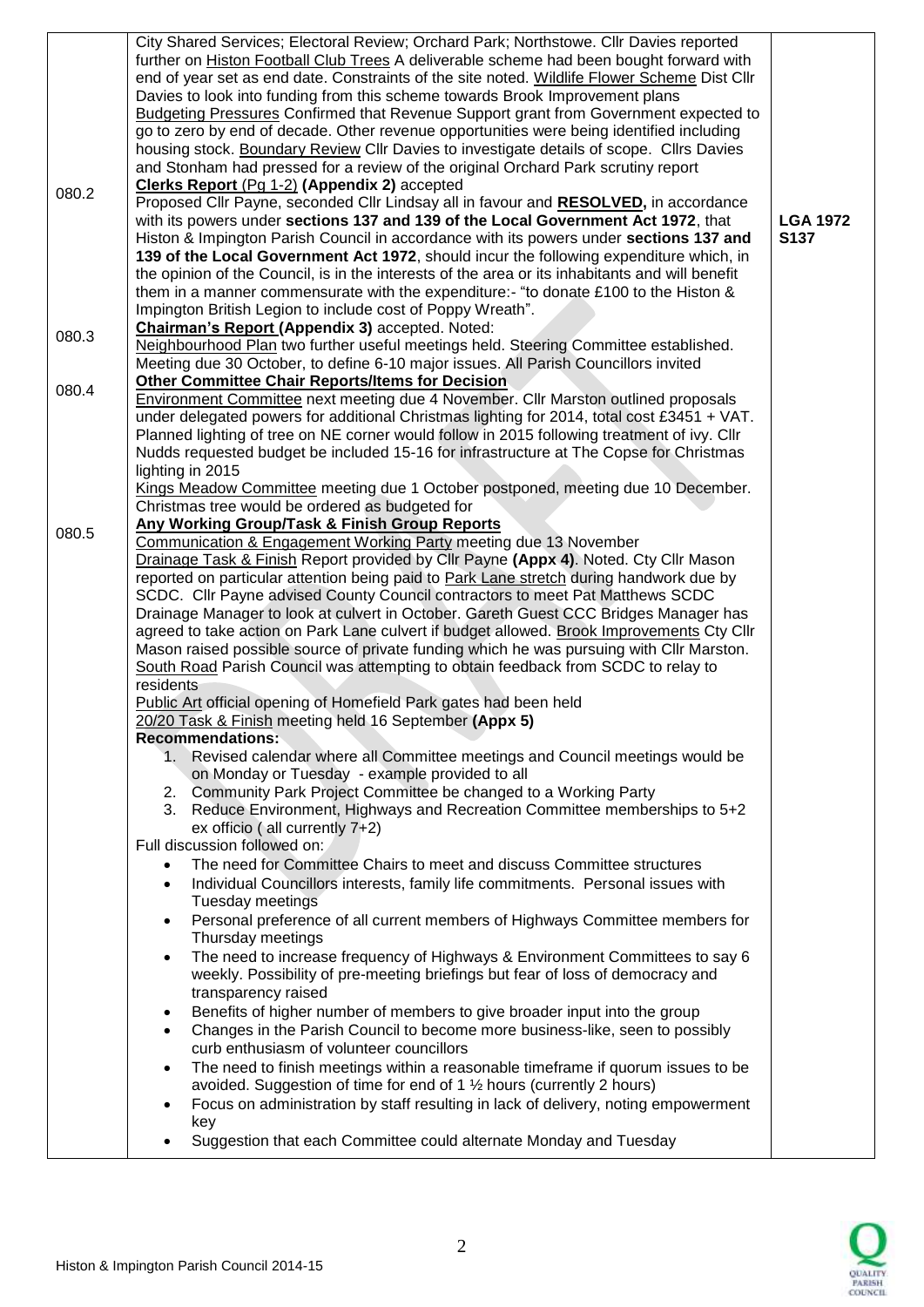|       | City Shared Services; Electoral Review; Orchard Park; Northstowe. Cllr Davies reported          |                 |
|-------|-------------------------------------------------------------------------------------------------|-----------------|
|       | further on Histon Football Club Trees A deliverable scheme had been bought forward with         |                 |
|       | end of year set as end date. Constraints of the site noted. Wildlife Flower Scheme Dist Cllr    |                 |
|       | Davies to look into funding from this scheme towards Brook Improvement plans                    |                 |
|       | Budgeting Pressures Confirmed that Revenue Support grant from Government expected to            |                 |
|       | go to zero by end of decade. Other revenue opportunities were being identified including        |                 |
|       | housing stock. Boundary Review Cllr Davies to investigate details of scope. Cllrs Davies        |                 |
|       | and Stonham had pressed for a review of the original Orchard Park scrutiny report               |                 |
|       | Clerks Report (Pg 1-2) (Appendix 2) accepted                                                    |                 |
| 080.2 | Proposed Cllr Payne, seconded Cllr Lindsay all in favour and RESOLVED, in accordance            |                 |
|       | with its powers under sections 137 and 139 of the Local Government Act 1972, that               | <b>LGA 1972</b> |
|       | Histon & Impington Parish Council in accordance with its powers under sections 137 and          | <b>S137</b>     |
|       | 139 of the Local Government Act 1972, should incur the following expenditure which, in          |                 |
|       | the opinion of the Council, is in the interests of the area or its inhabitants and will benefit |                 |
|       | them in a manner commensurate with the expenditure:- "to donate £100 to the Histon &            |                 |
|       | Impington British Legion to include cost of Poppy Wreath".                                      |                 |
|       | Chairman's Report (Appendix 3) accepted. Noted:                                                 |                 |
| 080.3 | Neighbourhood Plan two further useful meetings held. Steering Committee established.            |                 |
|       | Meeting due 30 October, to define 6-10 major issues. All Parish Councillors invited             |                 |
|       | <b>Other Committee Chair Reports/Items for Decision</b>                                         |                 |
| 080.4 | <b>Environment Committee next meeting due 4 November. Cllr Marston outlined proposals</b>       |                 |
|       | under delegated powers for additional Christmas lighting for 2014, total cost £3451 + VAT.      |                 |
|       | Planned lighting of tree on NE corner would follow in 2015 following treatment of ivy. Cllr     |                 |
|       | Nudds requested budget be included 15-16 for infrastructure at The Copse for Christmas          |                 |
|       | lighting in 2015                                                                                |                 |
|       | Kings Meadow Committee meeting due 1 October postponed, meeting due 10 December.                |                 |
|       | Christmas tree would be ordered as budgeted for                                                 |                 |
|       | Any Working Group/Task & Finish Group Reports                                                   |                 |
| 080.5 | Communication & Engagement Working Party meeting due 13 November                                |                 |
|       | Drainage Task & Finish Report provided by Cllr Payne (Appx 4). Noted. Cty Cllr Mason            |                 |
|       | reported on particular attention being paid to Park Lane stretch during handwork due by         |                 |
|       | SCDC. Cllr Payne advised County Council contractors to meet Pat Matthews SCDC                   |                 |
|       | Drainage Manager to look at culvert in October. Gareth Guest CCC Bridges Manager has            |                 |
|       | agreed to take action on Park Lane culvert if budget allowed. Brook Improvements Cty Cllr       |                 |
|       | Mason raised possible source of private funding which he was pursuing with Cllr Marston.        |                 |
|       | South Road Parish Council was attempting to obtain feedback from SCDC to relay to               |                 |
|       | residents                                                                                       |                 |
|       | Public Art official opening of Homefield Park gates had been held                               |                 |
|       | 20/20 Task & Finish meeting held 16 September (Appx 5)                                          |                 |
|       | <b>Recommendations:</b>                                                                         |                 |
|       | 1. Revised calendar where all Committee meetings and Council meetings would be                  |                 |
|       | on Monday or Tuesday - example provided to all                                                  |                 |
|       | 2. Community Park Project Committee be changed to a Working Party                               |                 |
|       | 3. Reduce Environment, Highways and Recreation Committee memberships to 5+2                     |                 |
|       | ex officio (all currently $7+2$ )                                                               |                 |
|       | Full discussion followed on:                                                                    |                 |
|       | The need for Committee Chairs to meet and discuss Committee structures                          |                 |
|       | Individual Councillors interests, family life commitments. Personal issues with<br>$\bullet$    |                 |
|       | Tuesday meetings                                                                                |                 |
|       | Personal preference of all current members of Highways Committee members for<br>$\bullet$       |                 |
|       | Thursday meetings                                                                               |                 |
|       | The need to increase frequency of Highways & Environment Committees to say 6<br>$\bullet$       |                 |
|       | weekly. Possibility of pre-meeting briefings but fear of loss of democracy and                  |                 |
|       | transparency raised                                                                             |                 |
|       | Benefits of higher number of members to give broader input into the group                       |                 |
|       | Changes in the Parish Council to become more business-like, seen to possibly<br>$\bullet$       |                 |
|       | curb enthusiasm of volunteer councillors                                                        |                 |
|       | The need to finish meetings within a reasonable timeframe if quorum issues to be<br>$\bullet$   |                 |
|       | avoided. Suggestion of time for end of 1 $\frac{1}{2}$ hours (currently 2 hours)                |                 |
|       | Focus on administration by staff resulting in lack of delivery, noting empowerment<br>$\bullet$ |                 |
|       | key                                                                                             |                 |
|       | Suggestion that each Committee could alternate Monday and Tuesday                               |                 |
|       |                                                                                                 |                 |

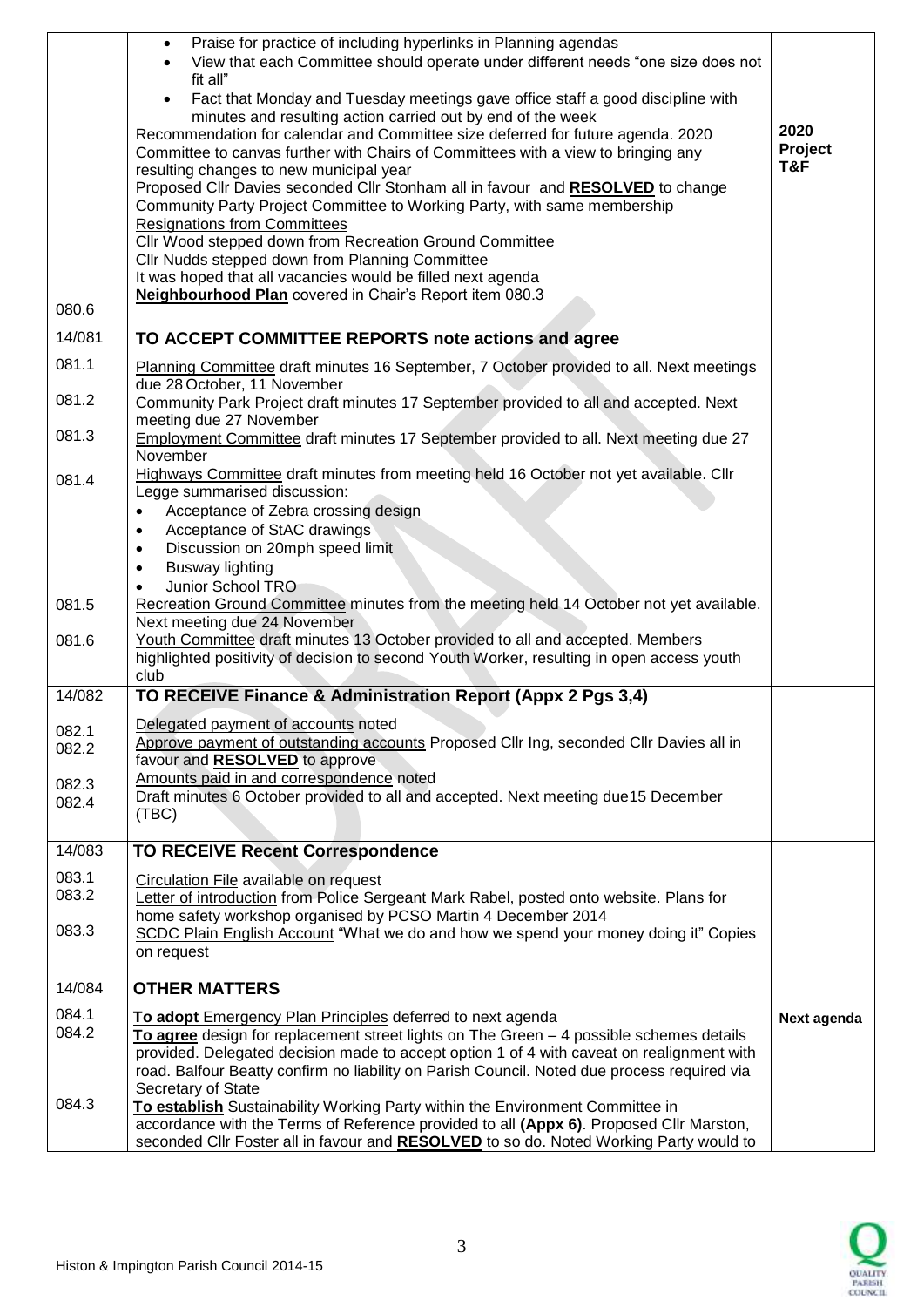| 080.6                   | Praise for practice of including hyperlinks in Planning agendas<br>$\bullet$<br>View that each Committee should operate under different needs "one size does not<br>fit all"<br>Fact that Monday and Tuesday meetings gave office staff a good discipline with<br>$\bullet$<br>minutes and resulting action carried out by end of the week<br>Recommendation for calendar and Committee size deferred for future agenda. 2020<br>Committee to canvas further with Chairs of Committees with a view to bringing any<br>resulting changes to new municipal year<br>Proposed Cllr Davies seconded Cllr Stonham all in favour and RESOLVED to change<br>Community Party Project Committee to Working Party, with same membership<br><b>Resignations from Committees</b><br>Cllr Wood stepped down from Recreation Ground Committee<br>Cllr Nudds stepped down from Planning Committee<br>It was hoped that all vacancies would be filled next agenda<br>Neighbourhood Plan covered in Chair's Report item 080.3 | 2020<br>Project<br>T&F |
|-------------------------|-------------------------------------------------------------------------------------------------------------------------------------------------------------------------------------------------------------------------------------------------------------------------------------------------------------------------------------------------------------------------------------------------------------------------------------------------------------------------------------------------------------------------------------------------------------------------------------------------------------------------------------------------------------------------------------------------------------------------------------------------------------------------------------------------------------------------------------------------------------------------------------------------------------------------------------------------------------------------------------------------------------|------------------------|
| 14/081                  | TO ACCEPT COMMITTEE REPORTS note actions and agree                                                                                                                                                                                                                                                                                                                                                                                                                                                                                                                                                                                                                                                                                                                                                                                                                                                                                                                                                          |                        |
| 081.1<br>081.2          | Planning Committee draft minutes 16 September, 7 October provided to all. Next meetings<br>due 28 October, 11 November<br>Community Park Project draft minutes 17 September provided to all and accepted. Next<br>meeting due 27 November                                                                                                                                                                                                                                                                                                                                                                                                                                                                                                                                                                                                                                                                                                                                                                   |                        |
| 081.3                   | Employment Committee draft minutes 17 September provided to all. Next meeting due 27<br>November                                                                                                                                                                                                                                                                                                                                                                                                                                                                                                                                                                                                                                                                                                                                                                                                                                                                                                            |                        |
| 081.4                   | Highways Committee draft minutes from meeting held 16 October not yet available. Cllr<br>Legge summarised discussion:<br>Acceptance of Zebra crossing design<br>$\bullet$<br>Acceptance of StAC drawings<br>$\bullet$<br>Discussion on 20mph speed limit<br>$\bullet$<br><b>Busway lighting</b><br>$\bullet$                                                                                                                                                                                                                                                                                                                                                                                                                                                                                                                                                                                                                                                                                                |                        |
| 081.5                   | Junior School TRO<br>Recreation Ground Committee minutes from the meeting held 14 October not yet available.<br>Next meeting due 24 November                                                                                                                                                                                                                                                                                                                                                                                                                                                                                                                                                                                                                                                                                                                                                                                                                                                                |                        |
| 081.6                   | Youth Committee draft minutes 13 October provided to all and accepted. Members<br>highlighted positivity of decision to second Youth Worker, resulting in open access youth<br>club                                                                                                                                                                                                                                                                                                                                                                                                                                                                                                                                                                                                                                                                                                                                                                                                                         |                        |
| 14/082                  | TO RECEIVE Finance & Administration Report (Appx 2 Pgs 3,4)                                                                                                                                                                                                                                                                                                                                                                                                                                                                                                                                                                                                                                                                                                                                                                                                                                                                                                                                                 |                        |
| 082.1<br>082.2<br>082.3 | Delegated payment of accounts noted<br>Approve payment of outstanding accounts Proposed Cllr Ing, seconded Cllr Davies all in<br>favour and RESOLVED to approve<br>Amounts paid in and correspondence noted                                                                                                                                                                                                                                                                                                                                                                                                                                                                                                                                                                                                                                                                                                                                                                                                 |                        |
| 082.4                   | Draft minutes 6 October provided to all and accepted. Next meeting due15 December<br>(TBC)                                                                                                                                                                                                                                                                                                                                                                                                                                                                                                                                                                                                                                                                                                                                                                                                                                                                                                                  |                        |
| 14/083                  | <b>TO RECEIVE Recent Correspondence</b>                                                                                                                                                                                                                                                                                                                                                                                                                                                                                                                                                                                                                                                                                                                                                                                                                                                                                                                                                                     |                        |
| 083.1<br>083.2          | Circulation File available on request<br>Letter of introduction from Police Sergeant Mark Rabel, posted onto website. Plans for<br>home safety workshop organised by PCSO Martin 4 December 2014                                                                                                                                                                                                                                                                                                                                                                                                                                                                                                                                                                                                                                                                                                                                                                                                            |                        |
| 083.3                   | SCDC Plain English Account "What we do and how we spend your money doing it" Copies<br>on request                                                                                                                                                                                                                                                                                                                                                                                                                                                                                                                                                                                                                                                                                                                                                                                                                                                                                                           |                        |
| 14/084                  | <b>OTHER MATTERS</b>                                                                                                                                                                                                                                                                                                                                                                                                                                                                                                                                                                                                                                                                                                                                                                                                                                                                                                                                                                                        |                        |
| 084.1<br>084.2          | To adopt Emergency Plan Principles deferred to next agenda<br>To agree design for replacement street lights on The Green - 4 possible schemes details<br>provided. Delegated decision made to accept option 1 of 4 with caveat on realignment with<br>road. Balfour Beatty confirm no liability on Parish Council. Noted due process required via                                                                                                                                                                                                                                                                                                                                                                                                                                                                                                                                                                                                                                                           | Next agenda            |
| 084.3                   | Secretary of State<br>To establish Sustainability Working Party within the Environment Committee in<br>accordance with the Terms of Reference provided to all (Appx 6). Proposed Cllr Marston,<br>seconded CIIr Foster all in favour and RESOLVED to so do. Noted Working Party would to                                                                                                                                                                                                                                                                                                                                                                                                                                                                                                                                                                                                                                                                                                                    |                        |